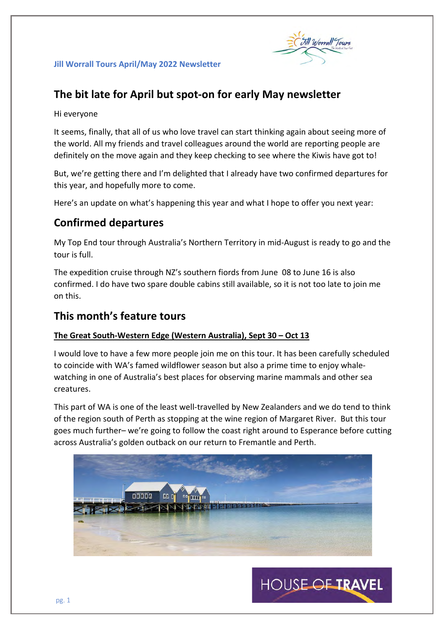

# **The bit late for April but spot-on for early May newsletter**

### Hi everyone

It seems, finally, that all of us who love travel can start thinking again about seeing more of the world. All my friends and travel colleagues around the world are reporting people are definitely on the move again and they keep checking to see where the Kiwis have got to!

But, we're getting there and I'm delighted that I already have two confirmed departures for this year, and hopefully more to come.

Here's an update on what's happening this year and what I hope to offer you next year:

# **Confirmed departures**

My Top End tour through Australia's Northern Territory in mid-August is ready to go and the tour is full.

The expedition cruise through NZ's southern fiords from June 08 to June 16 is also confirmed. I do have two spare double cabins still available, so it is not too late to join me on this.

# **This month's feature tours**

# **The Great South-Western Edge (Western Australia), Sept 30 – Oct 13**

I would love to have a few more people join me on this tour. It has been carefully scheduled to coincide with WA's famed wildflower season but also a prime time to enjoy whalewatching in one of Australia's best places for observing marine mammals and other sea creatures.

This part of WA is one of the least well-travelled by New Zealanders and we do tend to think of the region south of Perth as stopping at the wine region of Margaret River. But this tour goes much further– we're going to follow the coast right around to Esperance before cutting across Australia's golden outback on our return to Fremantle and Perth.



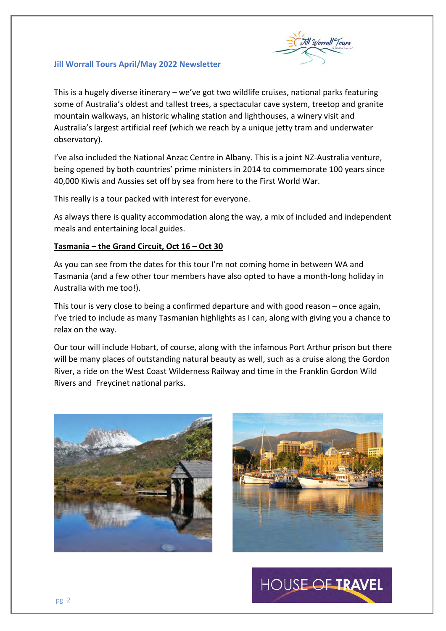

This is a hugely diverse itinerary – we've got two wildlife cruises, national parks featuring some of Australia's oldest and tallest trees, a spectacular cave system, treetop and granite mountain walkways, an historic whaling station and lighthouses, a winery visit and Australia's largest artificial reef (which we reach by a unique jetty tram and underwater observatory).

I've also included the National Anzac Centre in Albany. This is a joint NZ-Australia venture, being opened by both countries' prime ministers in 2014 to commemorate 100 years since 40,000 Kiwis and Aussies set off by sea from here to the First World War.

This really is a tour packed with interest for everyone.

As always there is quality accommodation along the way, a mix of included and independent meals and entertaining local guides.

#### **Tasmania – the Grand Circuit, Oct 16 – Oct 30**

As you can see from the dates for this tour I'm not coming home in between WA and Tasmania (and a few other tour members have also opted to have a month-long holiday in Australia with me too!).

This tour is very close to being a confirmed departure and with good reason – once again, I've tried to include as many Tasmanian highlights as I can, along with giving you a chance to relax on the way.

Our tour will include Hobart, of course, along with the infamous Port Arthur prison but there will be many places of outstanding natural beauty as well, such as a cruise along the Gordon River, a ride on the West Coast Wilderness Railway and time in the Franklin Gordon Wild Rivers and Freycinet national parks.





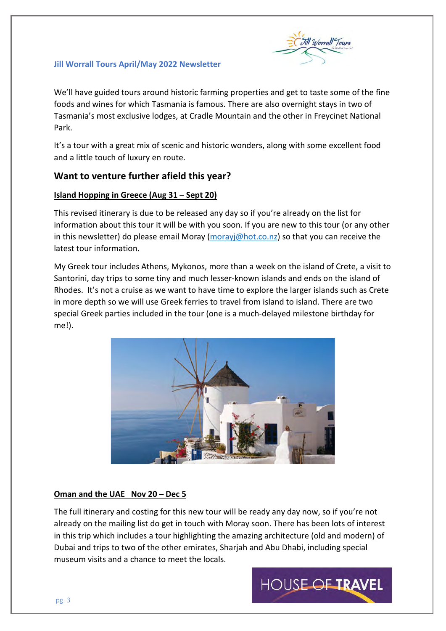

We'll have guided tours around historic farming properties and get to taste some of the fine foods and wines for which Tasmania is famous. There are also overnight stays in two of Tasmania's most exclusive lodges, at Cradle Mountain and the other in Freycinet National Park.

It's a tour with a great mix of scenic and historic wonders, along with some excellent food and a little touch of luxury en route.

# **Want to venture further afield this year?**

# **Island Hopping in Greece (Aug 31 – Sept 20)**

This revised itinerary is due to be released any day so if you're already on the list for information about this tour it will be with you soon. If you are new to this tour (or any other in this newsletter) do please email Moray [\(morayj@hot.co.nz\)](mailto:morayj@hot.co.nz) so that you can receive the latest tour information.

My Greek tour includes Athens, Mykonos, more than a week on the island of Crete, a visit to Santorini, day trips to some tiny and much lesser-known islands and ends on the island of Rhodes. It's not a cruise as we want to have time to explore the larger islands such as Crete in more depth so we will use Greek ferries to travel from island to island. There are two special Greek parties included in the tour (one is a much-delayed milestone birthday for me!).



# **Oman and the UAE Nov 20 – Dec 5**

The full itinerary and costing for this new tour will be ready any day now, so if you're not already on the mailing list do get in touch with Moray soon. There has been lots of interest in this trip which includes a tour highlighting the amazing architecture (old and modern) of Dubai and trips to two of the other emirates, Sharjah and Abu Dhabi, including special museum visits and a chance to meet the locals.

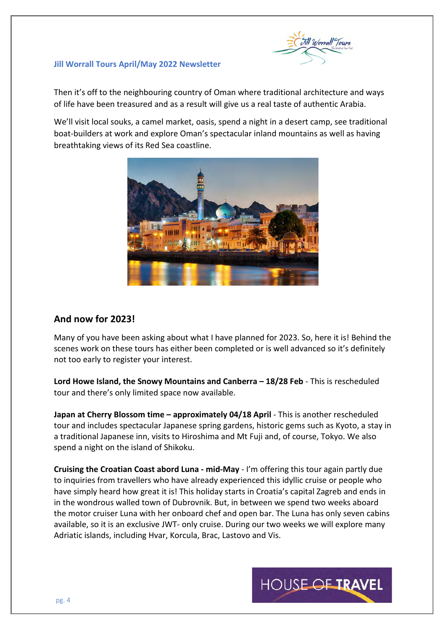

Then it's off to the neighbouring country of Oman where traditional architecture and ways of life have been treasured and as a result will give us a real taste of authentic Arabia.

We'll visit local souks, a camel market, oasis, spend a night in a desert camp, see traditional boat-builders at work and explore Oman's spectacular inland mountains as well as having breathtaking views of its Red Sea coastline.



# **And now for 2023!**

Many of you have been asking about what I have planned for 2023. So, here it is! Behind the scenes work on these tours has either been completed or is well advanced so it's definitely not too early to register your interest.

**Lord Howe Island, the Snowy Mountains and Canberra – 18/28 Feb** - This is rescheduled tour and there's only limited space now available.

**Japan at Cherry Blossom time – approximately 04/18 April** - This is another rescheduled tour and includes spectacular Japanese spring gardens, historic gems such as Kyoto, a stay in a traditional Japanese inn, visits to Hiroshima and Mt Fuji and, of course, Tokyo. We also spend a night on the island of Shikoku.

**Cruising the Croatian Coast abord Luna - mid-May** - I'm offering this tour again partly due to inquiries from travellers who have already experienced this idyllic cruise or people who have simply heard how great it is! This holiday starts in Croatia's capital Zagreb and ends in in the wondrous walled town of Dubrovnik. But, in between we spend two weeks aboard the motor cruiser Luna with her onboard chef and open bar. The Luna has only seven cabins available, so it is an exclusive JWT- only cruise. During our two weeks we will explore many Adriatic islands, including Hvar, Korcula, Brac, Lastovo and Vis.